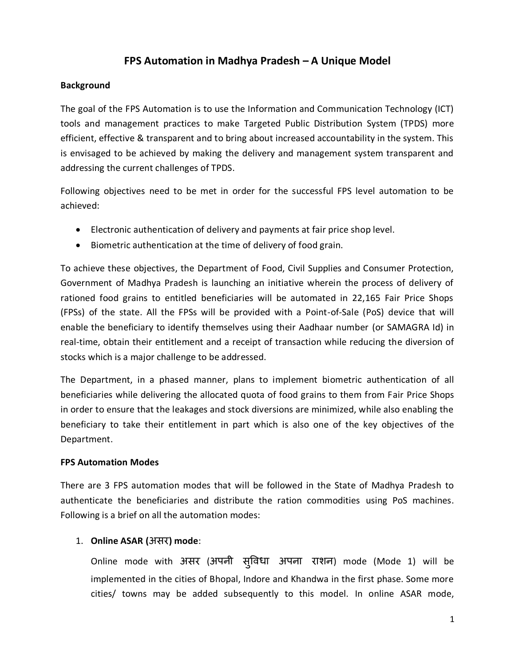# **FPS Automation in Madhya Pradesh – A Unique Model**

## **Background**

The goal of the FPS Automation is to use the Information and Communication Technology (ICT) tools and management practices to make Targeted Public Distribution System (TPDS) more efficient, effective & transparent and to bring about increased accountability in the system. This is envisaged to be achieved by making the delivery and management system transparent and addressing the current challenges of TPDS.

Following objectives need to be met in order for the successful FPS level automation to be achieved:

- Electronic authentication of delivery and payments at fair price shop level.
- Biometric authentication at the time of delivery of food grain.

To achieve these objectives, the Department of Food, Civil Supplies and Consumer Protection, Government of Madhya Pradesh is launching an initiative wherein the process of delivery of rationed food grains to entitled beneficiaries will be automated in 22,165 Fair Price Shops (FPSs) of the state. All the FPSs will be provided with a Point-of-Sale (PoS) device that will enable the beneficiary to identify themselves using their Aadhaar number (or SAMAGRA Id) in real-time, obtain their entitlement and a receipt of transaction while reducing the diversion of stocks which is a major challenge to be addressed.

The Department, in a phased manner, plans to implement biometric authentication of all beneficiaries while delivering the allocated quota of food grains to them from Fair Price Shops in order to ensure that the leakages and stock diversions are minimized, while also enabling the beneficiary to take their entitlement in part which is also one of the key objectives of the Department.

#### **FPS Automation Modes**

There are 3 FPS automation modes that will be followed in the State of Madhya Pradesh to authenticate the beneficiaries and distribute the ration commodities using PoS machines. Following is a brief on all the automation modes:

# 1. **Online ASAR (**असर**) mode**:

Online mode with असर (अपनी सुविधा अपना राशन) mode (Mode 1) will be implemented in the cities of Bhopal, Indore and Khandwa in the first phase. Some more cities/ towns may be added subsequently to this model. In online ASAR mode,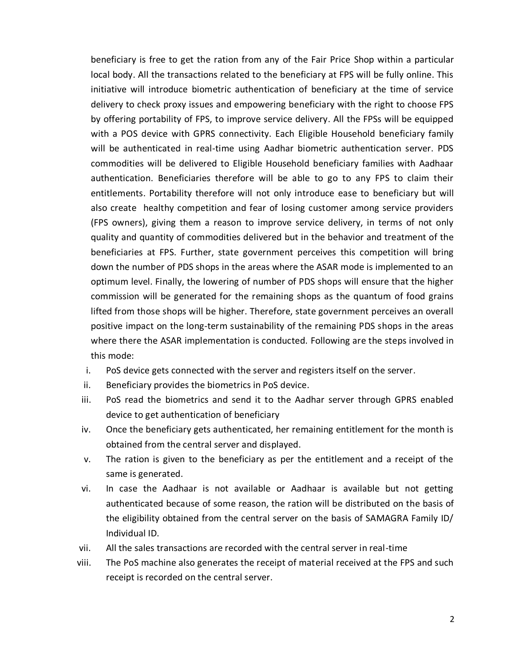beneficiary is free to get the ration from any of the Fair Price Shop within a particular local body. All the transactions related to the beneficiary at FPS will be fully online. This initiative will introduce biometric authentication of beneficiary at the time of service delivery to check proxy issues and empowering beneficiary with the right to choose FPS by offering portability of FPS, to improve service delivery. All the FPSs will be equipped with a POS device with GPRS connectivity. Each Eligible Household beneficiary family will be authenticated in real-time using Aadhar biometric authentication server. PDS commodities will be delivered to Eligible Household beneficiary families with Aadhaar authentication. Beneficiaries therefore will be able to go to any FPS to claim their entitlements. Portability therefore will not only introduce ease to beneficiary but will also create healthy competition and fear of losing customer among service providers (FPS owners), giving them a reason to improve service delivery, in terms of not only quality and quantity of commodities delivered but in the behavior and treatment of the beneficiaries at FPS. Further, state government perceives this competition will bring down the number of PDS shops in the areas where the ASAR mode is implemented to an optimum level. Finally, the lowering of number of PDS shops will ensure that the higher commission will be generated for the remaining shops as the quantum of food grains lifted from those shops will be higher. Therefore, state government perceives an overall positive impact on the long-term sustainability of the remaining PDS shops in the areas where there the ASAR implementation is conducted. Following are the steps involved in this mode:

- i. PoS device gets connected with the server and registers itself on the server.
- ii. Beneficiary provides the biometrics in PoS device.
- iii. PoS read the biometrics and send it to the Aadhar server through GPRS enabled device to get authentication of beneficiary
- iv. Once the beneficiary gets authenticated, her remaining entitlement for the month is obtained from the central server and displayed.
- v. The ration is given to the beneficiary as per the entitlement and a receipt of the same is generated.
- vi. In case the Aadhaar is not available or Aadhaar is available but not getting authenticated because of some reason, the ration will be distributed on the basis of the eligibility obtained from the central server on the basis of SAMAGRA Family ID/ Individual ID.
- vii. All the sales transactions are recorded with the central server in real-time
- viii. The PoS machine also generates the receipt of material received at the FPS and such receipt is recorded on the central server.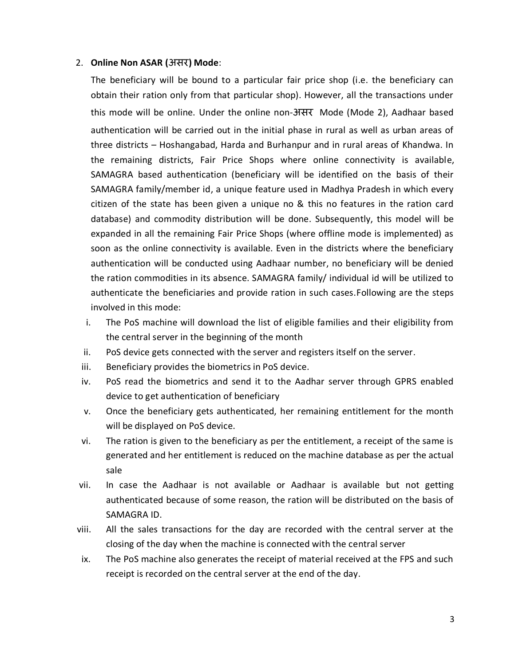#### 2. **Online Non ASAR (**असर**) Mode**:

The beneficiary will be bound to a particular fair price shop (i.e. the beneficiary can obtain their ration only from that particular shop). However, all the transactions under this mode will be online. Under the online non-असर Mode (Mode 2), Aadhaar based authentication will be carried out in the initial phase in rural as well as urban areas of three districts – Hoshangabad, Harda and Burhanpur and in rural areas of Khandwa. In the remaining districts, Fair Price Shops where online connectivity is available, SAMAGRA based authentication (beneficiary will be identified on the basis of their SAMAGRA family/member id, a unique feature used in Madhya Pradesh in which every citizen of the state has been given a unique no & this no features in the ration card database) and commodity distribution will be done. Subsequently, this model will be expanded in all the remaining Fair Price Shops (where offline mode is implemented) as soon as the online connectivity is available. Even in the districts where the beneficiary authentication will be conducted using Aadhaar number, no beneficiary will be denied the ration commodities in its absence. SAMAGRA family/ individual id will be utilized to authenticate the beneficiaries and provide ration in such cases.Following are the steps involved in this mode:

- i. The PoS machine will download the list of eligible families and their eligibility from the central server in the beginning of the month
- ii. PoS device gets connected with the server and registers itself on the server.
- iii. Beneficiary provides the biometrics in PoS device.
- iv. PoS read the biometrics and send it to the Aadhar server through GPRS enabled device to get authentication of beneficiary
- v. Once the beneficiary gets authenticated, her remaining entitlement for the month will be displayed on PoS device.
- vi. The ration is given to the beneficiary as per the entitlement, a receipt of the same is generated and her entitlement is reduced on the machine database as per the actual sale
- vii. In case the Aadhaar is not available or Aadhaar is available but not getting authenticated because of some reason, the ration will be distributed on the basis of SAMAGRA ID.
- viii. All the sales transactions for the day are recorded with the central server at the closing of the day when the machine is connected with the central server
- ix. The PoS machine also generates the receipt of material received at the FPS and such receipt is recorded on the central server at the end of the day.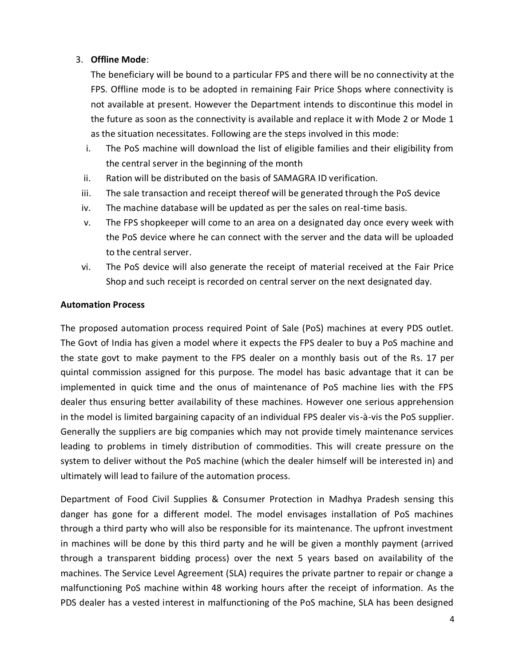## 3. **Offline Mode**:

The beneficiary will be bound to a particular FPS and there will be no connectivity at the FPS. Offline mode is to be adopted in remaining Fair Price Shops where connectivity is not available at present. However the Department intends to discontinue this model in the future as soon as the connectivity is available and replace it with Mode 2 or Mode 1 as the situation necessitates. Following are the steps involved in this mode:

- i. The PoS machine will download the list of eligible families and their eligibility from the central server in the beginning of the month
- ii. Ration will be distributed on the basis of SAMAGRA ID verification.
- iii. The sale transaction and receipt thereof will be generated through the PoS device
- iv. The machine database will be updated as per the sales on real-time basis.
- v. The FPS shopkeeper will come to an area on a designated day once every week with the PoS device where he can connect with the server and the data will be uploaded to the central server.
- vi. The PoS device will also generate the receipt of material received at the Fair Price Shop and such receipt is recorded on central server on the next designated day.

#### **Automation Process**

The proposed automation process required Point of Sale (PoS) machines at every PDS outlet. The Govt of India has given a model where it expects the FPS dealer to buy a PoS machine and the state govt to make payment to the FPS dealer on a monthly basis out of the Rs. 17 per quintal commission assigned for this purpose. The model has basic advantage that it can be implemented in quick time and the onus of maintenance of PoS machine lies with the FPS dealer thus ensuring better availability of these machines. However one serious apprehension in the model is limited bargaining capacity of an individual FPS dealer vis-à-vis the PoS supplier. Generally the suppliers are big companies which may not provide timely maintenance services leading to problems in timely distribution of commodities. This will create pressure on the system to deliver without the PoS machine (which the dealer himself will be interested in) and ultimately will lead to failure of the automation process.

Department of Food Civil Supplies & Consumer Protection in Madhya Pradesh sensing this danger has gone for a different model. The model envisages installation of PoS machines through a third party who will also be responsible for its maintenance. The upfront investment in machines will be done by this third party and he will be given a monthly payment (arrived through a transparent bidding process) over the next 5 years based on availability of the machines. The Service Level Agreement (SLA) requires the private partner to repair or change a malfunctioning PoS machine within 48 working hours after the receipt of information. As the PDS dealer has a vested interest in malfunctioning of the PoS machine, SLA has been designed